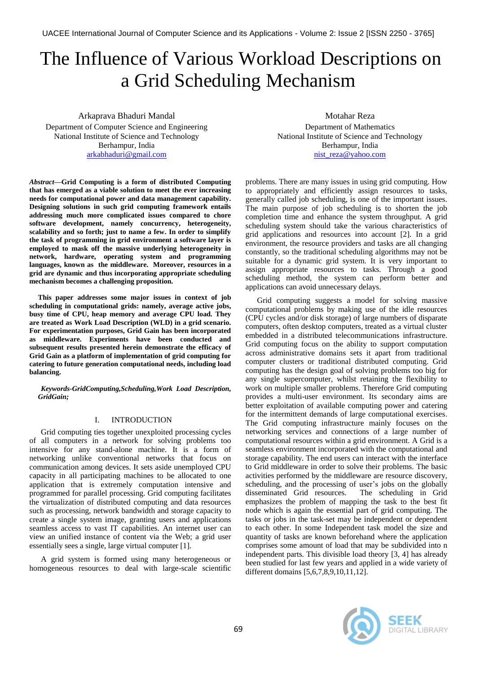# The Influence of Various Workload Descriptions on a Grid Scheduling Mechanism

Arkaprava Bhaduri Mandal

Department of Computer Science and Engineering National Institute of Science and Technology Berhampur, India [arkabhaduri@gmail.com](mailto:arkabhaduri@gmail.com)

*Abstract***—Grid Computing is a form of distributed Computing that has emerged as a viable solution to meet the ever increasing needs for computational power and data management capability. Designing solutions in such grid computing framework entails addressing much more complicated issues compared to chore**  software development, namely concurrency, heterogeneity, **scalability and so forth; just to name a few. In order to simplify the task of programming in grid environment a software layer is employed to mask off the massive underlying heterogeneity in network, hardware, operating system and programming languages, known as the middleware. Moreover, resources in a grid are dynamic and thus incorporating appropriate scheduling mechanism becomes a challenging proposition.**

**This paper addresses some major issues in context of job scheduling in computational grids: namely, average active jobs, busy time of CPU, heap memory and average CPU load. They are treated as Work Load Description (WLD) in a grid scenario. For experimentation purposes, Grid Gain has been incorporated as middleware. Experiments have been conducted and subsequent results presented herein demonstrate the efficacy of Grid Gain as a platform of implementation of grid computing for catering to future generation computational needs, including load balancing.**

*Keywords-GridComputing,Scheduling,Work Load Description, GridGain;* 

## I. INTRODUCTION

Grid computing ties together unexploited processing cycles of all computers in a network for solving problems too intensive for any stand-alone machine. It is a form of networking unlike conventional networks that focus on communication among devices. It sets aside unemployed CPU capacity in all participating machines to be allocated to one application that is extremely computation intensive and programmed for parallel processing. Grid computing facilitates the virtualization of distributed computing and data resources such as processing, network bandwidth and storage capacity to create a single system image, granting users and applications seamless access to vast IT capabilities. An internet user can view an unified instance of content via the Web; a grid user essentially sees a single, large virtual computer [1].

A grid system is formed using many heterogeneous or homogeneous resources to deal with large-scale scientific Motahar Reza

Department of Mathematics National Institute of Science and Technology Berhampur, India [nist\\_reza@yahoo.com](mailto:nist_reza@yahoo.com)

problems. There are many issues in using grid computing. How to appropriately and efficiently assign resources to tasks, generally called job scheduling, is one of the important issues. The main purpose of job scheduling is to shorten the job completion time and enhance the system throughput. A grid scheduling system should take the various characteristics of grid applications and resources into account [2]. In a grid environment, the resource providers and tasks are all changing constantly, so the traditional scheduling algorithms may not be suitable for a dynamic grid system. It is very important to assign appropriate resources to tasks. Through a good scheduling method, the system can perform better and applications can avoid unnecessary delays.

Grid computing suggests a model for solving massive computational problems by making use of the idle resources (CPU cycles and/or disk storage) of large numbers of disparate computers, often desktop computers, treated as a virtual cluster embedded in a distributed telecommunications infrastructure. Grid computing focus on the ability to support computation across administrative domains sets it apart from traditional computer clusters or traditional distributed computing. Grid computing has the design goal of solving problems too big for any single supercomputer, whilst retaining the flexibility to work on multiple smaller problems. Therefore Grid computing provides a multi-user environment. Its secondary aims are better exploitation of available computing power and catering for the intermittent demands of large computational exercises. The Grid computing infrastructure mainly focuses on the networking services and connections of a large number of computational resources within a grid environment. A Grid is a seamless environment incorporated with the computational and storage capability. The end users can interact with the interface to Grid middleware in order to solve their problems. The basic activities performed by the middleware are resource discovery, scheduling, and the processing of user's jobs on the globally disseminated Grid resources. The scheduling in Grid emphasizes the problem of mapping the task to the best fit node which is again the essential part of grid computing. The tasks or jobs in the task-set may be independent or dependent to each other. In some Independent task model the size and quantity of tasks are known beforehand where the application comprises some amount of load that may be subdivided into n independent parts. This divisible load theory [3, 4] has already been studied for last few years and applied in a wide variety of different domains [5,6,7,8,9,10,11,12].

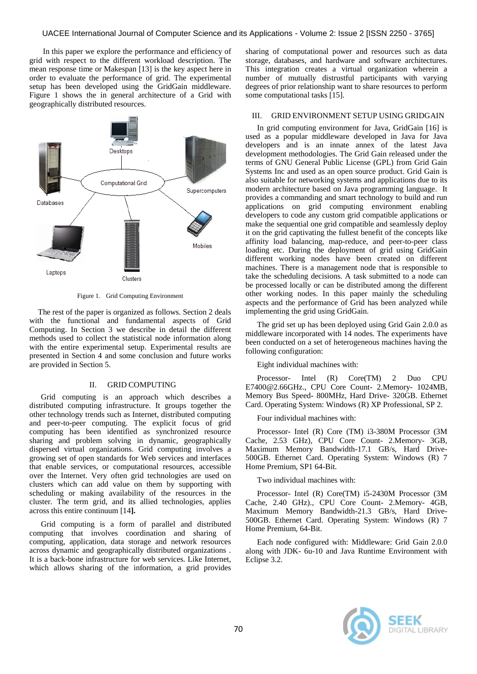In this paper we explore the performance and efficiency of grid with respect to the different workload description. The mean response time or Makespan [13] is the key aspect here in order to evaluate the performance of grid. The experimental setup has been developed using the GridGain middleware. Figure 1 shows the in general architecture of a Grid with geographically distributed resources.



Figure 1. Grid Computing Environment

The rest of the paper is organized as follows. Section 2 deals with the functional and fundamental aspects of Grid Computing. In Section 3 we describe in detail the different methods used to collect the statistical node information along with the entire experimental setup. Experimental results are presented in Section 4 and some conclusion and future works are provided in Section 5.

# II. GRID COMPUTING

Grid computing is an approach which describes a distributed computing infrastructure. It groups together the other technology trends such as Internet, distributed computing and peer-to-peer computing. The explicit focus of grid computing has been identified as synchronized resource sharing and problem solving in dynamic, geographically dispersed virtual organizations. Grid computing involves a growing set of open standards for Web services and interfaces that enable services, or computational resources, accessible over the Internet. Very often grid technologies are used on clusters which can add value on them by supporting with scheduling or making availability of the resources in the cluster. The term grid, and its allied technologies, applies across this entire continuum [14**].**

Grid computing is a form of parallel and distributed computing that involves coordination and sharing of computing, application, data storage and network resources across dynamic and geographically distributed organizations . It is a back-bone infrastructure for web services. Like Internet, which allows sharing of the information, a grid provides

sharing of computational power and resources such as data storage, databases, and hardware and software architectures. This integration creates a virtual organization wherein a number of mutually distrustful participants with varying degrees of prior relationship want to share resources to perform some computational tasks [15].

#### III. GRID ENVIRONMENT SETUP USING GRIDGAIN

In grid computing environment for Java, GridGain [16] is used as a popular middleware developed in Java for Java developers and is an innate annex of the latest Java development methodologies. The Grid Gain released under the terms of GNU General Public License (GPL) from Grid Gain Systems Inc and used as an open source product. Grid Gain is also suitable for networking systems and applications due to its modern architecture based on Java programming language. It provides a commanding and smart technology to build and run applications on grid computing environment enabling developers to code any custom grid compatible applications or make the sequential one grid compatible and seamlessly deploy it on the grid captivating the fullest benefit of the concepts like affinity load balancing, map-reduce, and peer-to-peer class loading etc. During the deployment of grid using GridGain different working nodes have been created on different machines. There is a management node that is responsible to take the scheduling decisions. A task submitted to a node can be processed locally or can be distributed among the different other working nodes. In this paper mainly the scheduling aspects and the performance of Grid has been analyzed while implementing the grid using GridGain.

The grid set up has been deployed using Grid Gain 2.0.0 as middleware incorporated with 14 nodes. The experiments have been conducted on a set of heterogeneous machines having the following configuration:

## Eight individual machines with:

Processor- Intel (R) Core(TM) 2 Duo CPU [E7400@2.66GHz.](mailto:E7400@2.80GHz), CPU Core Count- 2.Memory- 1024MB, Memory Bus Speed- 800MHz, Hard Drive- 320GB. Ethernet Card. Operating System: Windows (R) XP Professional, SP 2.

#### Four individual machines with:

Processor- Intel (R) Core (TM) i3-380M Processor (3M Cache, 2.53 GHz), CPU Core Count- 2.Memory- 3GB, Maximum Memory Bandwidth-17.1 GB/s, Hard Drive-500GB. Ethernet Card. Operating System: Windows (R) 7 Home Premium, SP1 64-Bit.

#### Two individual machines with:

Processor- Intel (R) Core(TM) i5-2430M Processor (3M Cache, 2.40 GHz)., CPU Core Count- 2.Memory- 4GB, Maximum Memory Bandwidth-21.3 GB/s, Hard Drive-500GB. Ethernet Card. Operating System: Windows (R) 7 Home Premium, 64-Bit.

Each node configured with: Middleware: Grid Gain 2.0.0 along with JDK- 6u-10 and Java Runtime Environment with Eclipse 3.2.

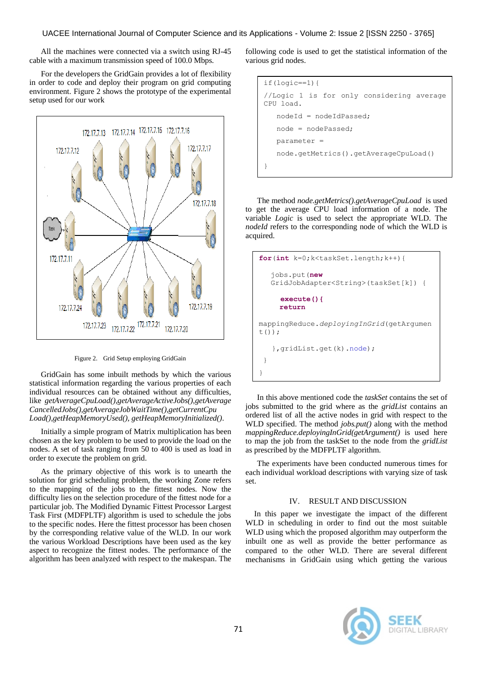All the machines were connected via a switch using RJ-45 cable with a maximum transmission speed of 100.0 Mbps.

For the developers the GridGain provides a lot of flexibility in order to code and deploy their program on grid computing environment. Figure 2 shows the prototype of the experimental setup used for our work



Figure 2. Grid Setup employing GridGain

GridGain has some inbuilt methods by which the various statistical information regarding the various properties of each individual resources can be obtained without any difficulties, like *getAverageCpuLoad(),getAverageActiveJobs(),getAverage CancelledJobs(),getAverageJobWaitTime(),getCurrentCpu Load(),getHeapMemoryUsed(), getHeapMemoryInitialized()*.

Initially a simple program of Matrix multiplication has been chosen as the key problem to be used to provide the load on the nodes. A set of task ranging from 50 to 400 is used as load in order to execute the problem on grid.

As the primary objective of this work is to unearth the solution for grid scheduling problem, the working Zone refers to the mapping of the jobs to the fittest nodes. Now the difficulty lies on the selection procedure of the fittest node for a particular job. The Modified Dynamic Fittest Processor Largest Task First (MDFPLTF) algorithm is used to schedule the jobs to the specific nodes. Here the fittest processor has been chosen by the corresponding relative value of the WLD. In our work the various Workload Descriptions have been used as the key aspect to recognize the fittest nodes. The performance of the algorithm has been analyzed with respect to the makespan. The

following code is used to get the statistical information of the various grid nodes.

```
if(logic==1){
//Logic 1 is for only considering average
CPU load.
    nodeId = nodeIdPassed;
    node = nodePassed;
    parameter =
    node.getMetrics().getAverageCpuLoad()
}
```
The method *node.getMetrics().getAverageCpuLoad* is used to get the average CPU load information of a node. The variable *Logic* is used to select the appropriate WLD. The *nodeId* refers to the corresponding node of which the WLD is acquired.

```
for(int k=0;k<taskSet.length;k++){
  jobs.put(new 
  GridJobAdapter<String>(taskSet[k]) {
      execute(){
      return
mappingReduce.deployingInGrid(getArgumen
t());
    },gridList.get(k).node);
 }
}
```
In this above mentioned code the *taskSet* contains the set of jobs submitted to the grid where as the *gridList* contains an ordered list of all the active nodes in grid with respect to the WLD specified. The method *jobs.put()* along with the method *mappingReduce.deployingInGrid(getArgument()* is used here to map the job from the taskSet to the node from the *gridList* as prescribed by the MDFPLTF algorithm.

The experiments have been conducted numerous times for each individual workload descriptions with varying size of task set.

## IV. RESULT AND DISCUSSION

In this paper we investigate the impact of the different WLD in scheduling in order to find out the most suitable WLD using which the proposed algorithm may outperform the inbuilt one as well as provide the better performance as compared to the other WLD. There are several different mechanisms in GridGain using which getting the various

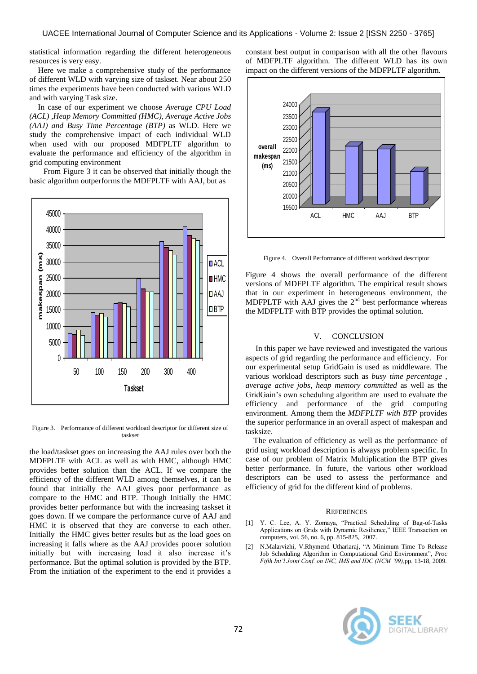statistical information regarding the different heterogeneous resources is very easy.

Here we make a comprehensive study of the performance of different WLD with varying size of taskset. Near about 250 times the experiments have been conducted with various WLD and with varying Task size.

In case of our experiment we choose *Average CPU Load (ACL) ,Heap Memory Committed (HMC), Average Active Jobs (AAJ) and Busy Time Percentage (BTP)* as WLD. Here we study the comprehensive impact of each individual WLD when used with our proposed MDFPLTF algorithm to evaluate the performance and efficiency of the algorithm in grid computing environment

 From Figure 3 it can be observed that initially though the basic algorithm outperforms the MDFPLTF with AAJ, but as



Figure 3. Performance of different workload descriptor for different size of taskset

the load/taskset goes on increasing the AAJ rules over both the MDFPLTF with ACL as well as with HMC, although HMC provides better solution than the ACL. If we compare the efficiency of the different WLD among themselves, it can be found that initially the AAJ gives poor performance as compare to the HMC and BTP. Though Initially the HMC provides better performance but with the increasing taskset it goes down. If we compare the performance curve of AAJ and HMC it is observed that they are converse to each other. Initially the HMC gives better results but as the load goes on increasing it falls where as the AAJ provides poorer solution initially but with increasing load it also increase it's performance. But the optimal solution is provided by the BTP. From the initiation of the experiment to the end it provides a constant best output in comparison with all the other flavours of MDFPLTF algorithm. The different WLD has its own impact on the different versions of the MDFPLTF algorithm.



Figure 4. Overall Performance of different workload descriptor

Figure 4 shows the overall performance of the different versions of MDFPLTF algorithm. The empirical result shows that in our experiment in heterogeneous environment, the MDFPLTF with AAJ gives the  $2<sup>nd</sup>$  best performance whereas the MDFPLTF with BTP provides the optimal solution.

# V. CONCLUSION

 In this paper we have reviewed and investigated the various aspects of grid regarding the performance and efficiency. For our experimental setup GridGain is used as middleware. The various workload descriptors such as *busy time percentage , average active jobs*, *heap memory committed* as well as the GridGain's own scheduling algorithm are used to evaluate the efficiency and performance of the grid computing environment. Among them the *MDFPLTF with BTP* provides the superior performance in an overall aspect of makespan and tasksize.

 The evaluation of efficiency as well as the performance of grid using workload description is always problem specific. In case of our problem of Matrix Multiplication the BTP gives better performance. In future, the various other workload descriptors can be used to assess the performance and efficiency of grid for the different kind of problems.

#### **REFERENCES**

- Y. C. Lee, A. Y. Zomaya, "Practical Scheduling of Bag-of-Tasks Applications on Grids with Dynamic Resilience," IEEE Transaction on computers, vol. 56, no. 6, pp. 815-825, 2007.
- [2] N.Malarvizhi, V.Rhymend Uthariaraj, "A Minimum Time To Release Job Scheduling Algorithm in Computational Grid Environment", *Proc Fifth Int'l Joint Conf. on INC, IMS and IDC (NCM '09),*pp. 13-18, 2009.